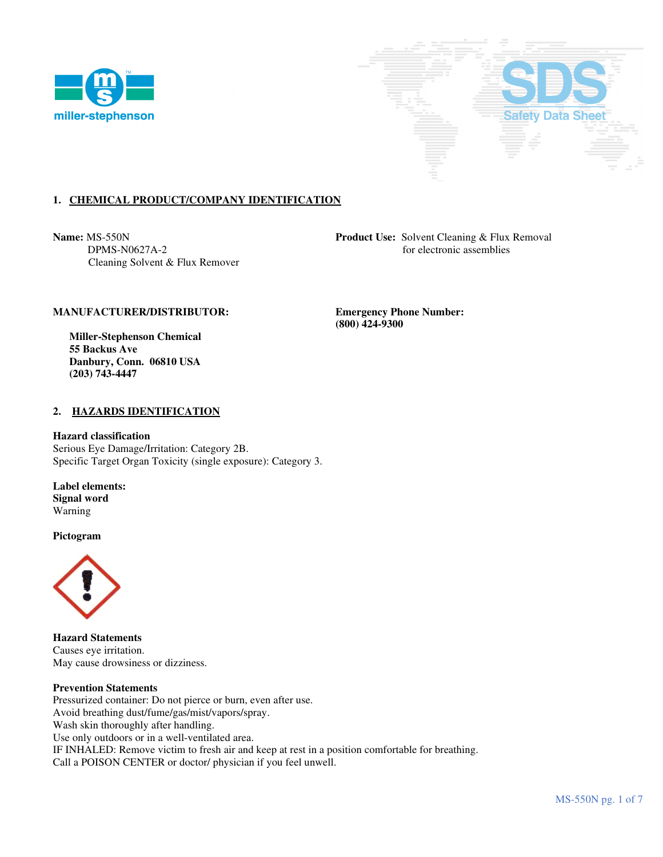



# **1. CHEMICAL PRODUCT/COMPANY IDENTIFICATION**

Cleaning Solvent & Flux Remover

**Name:** MS-550N **Product Use:** Solvent Cleaning & Flux Removal DPMS-N0627A-2 for electronic assemblies

### **MANUFACTURER/DISTRIBUTOR: Emergency Phone Number:**

 **Miller-Stephenson Chemical 55 Backus Ave Danbury, Conn. 06810 USA (203) 743-4447** 

### **2. HAZARDS IDENTIFICATION**

#### **Hazard classification**

Serious Eye Damage/Irritation: Category 2B. Specific Target Organ Toxicity (single exposure): Category 3.

**Label elements: Signal word**  Warning

**Pictogram**



**Hazard Statements**  Causes eye irritation. May cause drowsiness or dizziness.

#### **Prevention Statements**

Pressurized container: Do not pierce or burn, even after use. Avoid breathing dust/fume/gas/mist/vapors/spray. Wash skin thoroughly after handling. Use only outdoors or in a well-ventilated area. IF INHALED: Remove victim to fresh air and keep at rest in a position comfortable for breathing. Call a POISON CENTER or doctor/ physician if you feel unwell.

 **(800) 424-9300**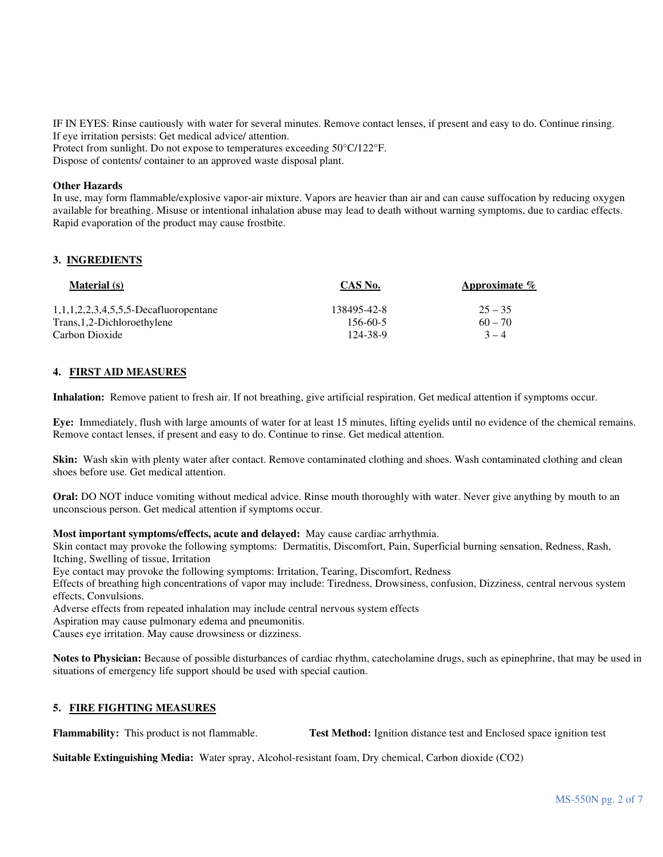IF IN EYES: Rinse cautiously with water for several minutes. Remove contact lenses, if present and easy to do. Continue rinsing. If eye irritation persists: Get medical advice/ attention. Protect from sunlight. Do not expose to temperatures exceeding 50°C/122°F.

Dispose of contents/ container to an approved waste disposal plant.

#### **Other Hazards**

In use, may form flammable/explosive vapor-air mixture. Vapors are heavier than air and can cause suffocation by reducing oxygen available for breathing. Misuse or intentional inhalation abuse may lead to death without warning symptoms, due to cardiac effects. Rapid evaporation of the product may cause frostbite.

### **3. INGREDIENTS**

| <b>Material</b> (s)                      | CAS No.     | Approximate $\%$ |
|------------------------------------------|-------------|------------------|
| $1,1,1,2,2,3,4,5,5,5$ -Decafluoropentane | 138495-42-8 | $25 - 35$        |
| Trans, 1, 2-Dichloroethylene             | 156-60-5    | $60 - 70$        |
| Carbon Dioxide                           | 124-38-9    | $3 - 4$          |

### **4. FIRST AID MEASURES**

**Inhalation:** Remove patient to fresh air. If not breathing, give artificial respiration. Get medical attention if symptoms occur.

**Eye:** Immediately, flush with large amounts of water for at least 15 minutes, lifting eyelids until no evidence of the chemical remains. Remove contact lenses, if present and easy to do. Continue to rinse. Get medical attention.

**Skin:** Wash skin with plenty water after contact. Remove contaminated clothing and shoes. Wash contaminated clothing and clean shoes before use. Get medical attention.

**Oral:** DO NOT induce vomiting without medical advice. Rinse mouth thoroughly with water. Never give anything by mouth to an unconscious person. Get medical attention if symptoms occur.

**Most important symptoms/effects, acute and delayed:** May cause cardiac arrhythmia.

Skin contact may provoke the following symptoms: Dermatitis, Discomfort, Pain, Superficial burning sensation, Redness, Rash, Itching, Swelling of tissue, Irritation

Eye contact may provoke the following symptoms: Irritation, Tearing, Discomfort, Redness

Effects of breathing high concentrations of vapor may include: Tiredness, Drowsiness, confusion, Dizziness, central nervous system effects, Convulsions.

Adverse effects from repeated inhalation may include central nervous system effects

Aspiration may cause pulmonary edema and pneumonitis.

Causes eye irritation. May cause drowsiness or dizziness.

**Notes to Physician:** Because of possible disturbances of cardiac rhythm, catecholamine drugs, such as epinephrine, that may be used in situations of emergency life support should be used with special caution.

# **5. FIRE FIGHTING MEASURES**

**Flammability:** This product is not flammable. **Test Method:** Ignition distance test and Enclosed space ignition test

**Suitable Extinguishing Media:** Water spray, Alcohol-resistant foam, Dry chemical, Carbon dioxide (CO2)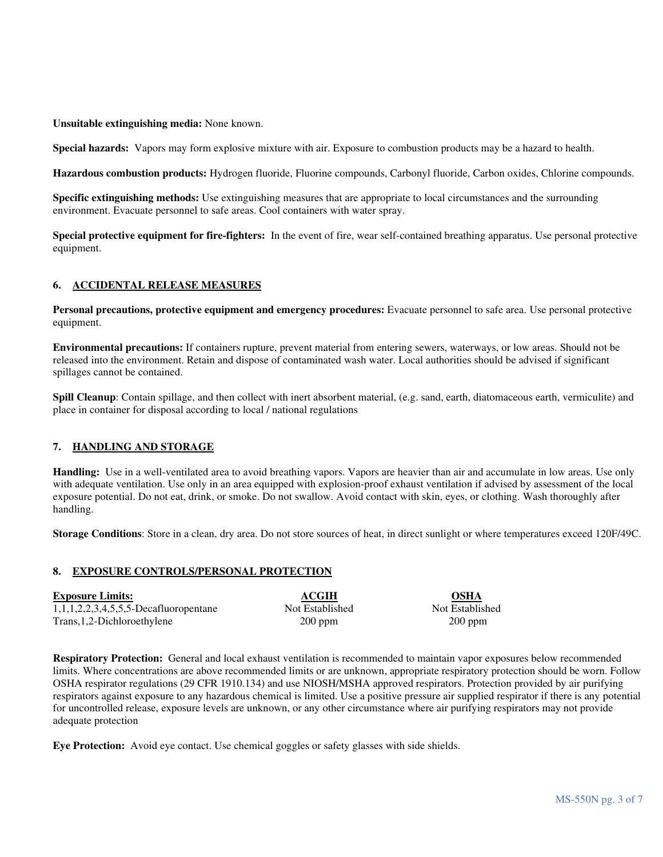**Unsuitable extinguishing media:** None known.

**Special hazards:** Vapors may form explosive mixture with air. Exposure to combustion products may be a hazard to health.

**Hazardous combustion products:** Hydrogen fluoride, Fluorine compounds, Carbonyl fluoride, Carbon oxides, Chlorine compounds.

**Specific extinguishing methods:** Use extinguishing measures that are appropriate to local circumstances and the surrounding environment. Evacuate personnel to safe areas. Cool containers with water spray.

**Special protective equipment for fire-fighters:** In the event of fire, wear self-contained breathing apparatus. Use personal protective equipment.

# **6. ACCIDENTAL RELEASE MEASURES**

**Personal precautions, protective equipment and emergency procedures:** Evacuate personnel to safe area. Use personal protective equipment.

**Environmental precautions:** If containers rupture, prevent material from entering sewers, waterways, or low areas. Should not be released into the environment. Retain and dispose of contaminated wash water. Local authorities should be advised if significant spillages cannot be contained.

**Spill Cleanup**: Contain spillage, and then collect with inert absorbent material, (e.g. sand, earth, diatomaceous earth, vermiculite) and place in container for disposal according to local / national regulations

# **7. HANDLING AND STORAGE**

**Handling:** Use in a well-ventilated area to avoid breathing vapors. Vapors are heavier than air and accumulate in low areas. Use only with adequate ventilation. Use only in an area equipped with explosion-proof exhaust ventilation if advised by assessment of the local exposure potential. Do not eat, drink, or smoke. Do not swallow. Avoid contact with skin, eyes, or clothing. Wash thoroughly after handling.

**Storage Conditions**: Store in a clean, dry area. Do not store sources of heat, in direct sunlight or where temperatures exceed 120F/49C.

# **8. EXPOSURE CONTROLS/PERSONAL PROTECTION**

| <b>Exposure Limits:</b>                  | ACGIH           | <b>OSHA</b>     |
|------------------------------------------|-----------------|-----------------|
| $1,1,1,2,2,3,4,5,5,5$ -Decafluoropentane | Not Established | Not Established |
| Trans, 1, 2-Dichloroethylene             | $200$ ppm       | $200$ ppm       |

**Respiratory Protection:** General and local exhaust ventilation is recommended to maintain vapor exposures below recommended limits. Where concentrations are above recommended limits or are unknown, appropriate respiratory protection should be worn. Follow OSHA respirator regulations (29 CFR 1910.134) and use NIOSH/MSHA approved respirators. Protection provided by air purifying respirators against exposure to any hazardous chemical is limited. Use a positive pressure air supplied respirator if there is any potential for uncontrolled release, exposure levels are unknown, or any other circumstance where air purifying respirators may not provide adequate protection

**Eye Protection:** Avoid eye contact. Use chemical goggles or safety glasses with side shields.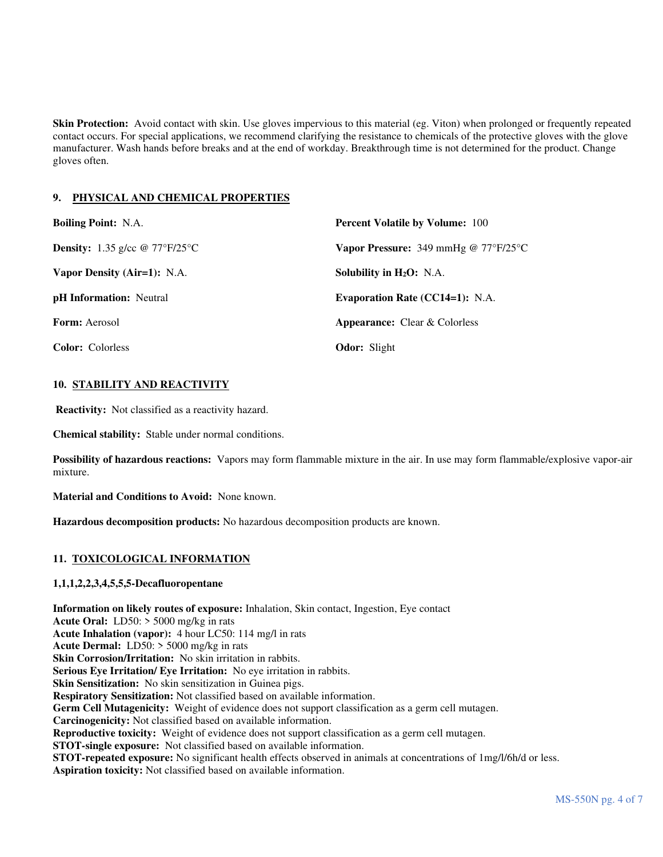**Skin Protection:** Avoid contact with skin. Use gloves impervious to this material (eg. Viton) when prolonged or frequently repeated contact occurs. For special applications, we recommend clarifying the resistance to chemicals of the protective gloves with the glove manufacturer. Wash hands before breaks and at the end of workday. Breakthrough time is not determined for the product. Change gloves often.

# **9. PHYSICAL AND CHEMICAL PROPERTIES**

| <b>Boiling Point: N.A.</b>                   | <b>Percent Volatile by Volume: 100</b>                      |  |
|----------------------------------------------|-------------------------------------------------------------|--|
| <b>Density:</b> 1.35 g/cc $\omega$ 77°F/25°C | <b>Vapor Pressure:</b> 349 mmHg @ $77^{\circ}F/25^{\circ}C$ |  |
| Vapor Density (Air=1): N.A.                  | Solubility in $H_2O$ : N.A.                                 |  |
| <b>pH</b> Information: Neutral               | <b>Evaporation Rate (CC14=1): N.A.</b>                      |  |
| <b>Form:</b> Aerosol                         | <b>Appearance:</b> Clear & Colorless                        |  |
| <b>Color:</b> Colorless                      | <b>Odor:</b> Slight                                         |  |

# **10. STABILITY AND REACTIVITY**

**Reactivity:** Not classified as a reactivity hazard.

**Chemical stability:** Stable under normal conditions.

**Possibility of hazardous reactions:** Vapors may form flammable mixture in the air. In use may form flammable/explosive vapor-air mixture.

**Material and Conditions to Avoid:** None known.

**Hazardous decomposition products:** No hazardous decomposition products are known.

# **11. TOXICOLOGICAL INFORMATION**

# **1,1,1,2,2,3,4,5,5,5-Decafluoropentane**

**Information on likely routes of exposure:** Inhalation, Skin contact, Ingestion, Eye contact **Acute Oral:** LD50: > 5000 mg/kg in rats **Acute Inhalation (vapor):** 4 hour LC50: 114 mg/l in rats **Acute Dermal:** LD50: > 5000 mg/kg in rats **Skin Corrosion/Irritation:** No skin irritation in rabbits. **Serious Eye Irritation/ Eye Irritation:** No eye irritation in rabbits. **Skin Sensitization:** No skin sensitization in Guinea pigs. **Respiratory Sensitization:** Not classified based on available information. **Germ Cell Mutagenicity:** Weight of evidence does not support classification as a germ cell mutagen. **Carcinogenicity:** Not classified based on available information. **Reproductive toxicity:** Weight of evidence does not support classification as a germ cell mutagen. **STOT-single exposure:** Not classified based on available information. **STOT-repeated exposure:** No significant health effects observed in animals at concentrations of 1mg/l/6h/d or less. **Aspiration toxicity:** Not classified based on available information.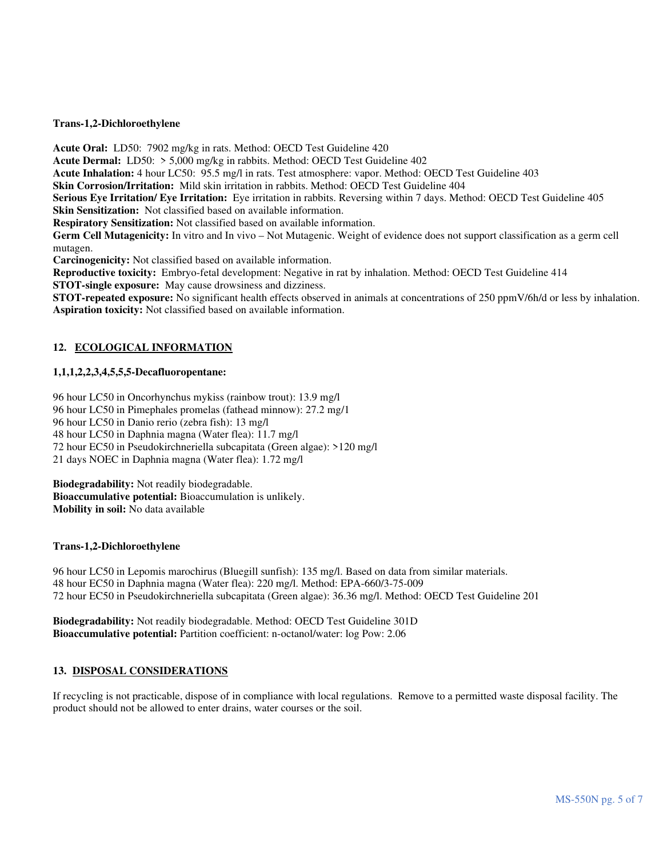#### **Trans-1,2-Dichloroethylene**

**Acute Oral:** LD50: 7902 mg/kg in rats. Method: OECD Test Guideline 420

**Acute Dermal:** LD50: > 5,000 mg/kg in rabbits. Method: OECD Test Guideline 402

**Acute Inhalation:** 4 hour LC50: 95.5 mg/l in rats. Test atmosphere: vapor. Method: OECD Test Guideline 403

**Skin Corrosion/Irritation:** Mild skin irritation in rabbits. Method: OECD Test Guideline 404

**Serious Eye Irritation/ Eye Irritation:** Eye irritation in rabbits. Reversing within 7 days. Method: OECD Test Guideline 405 **Skin Sensitization:** Not classified based on available information.

**Respiratory Sensitization:** Not classified based on available information.

**Germ Cell Mutagenicity:** In vitro and In vivo – Not Mutagenic. Weight of evidence does not support classification as a germ cell mutagen.

**Carcinogenicity:** Not classified based on available information.

**Reproductive toxicity:** Embryo-fetal development: Negative in rat by inhalation. Method: OECD Test Guideline 414

**STOT-single exposure:** May cause drowsiness and dizziness.

**STOT-repeated exposure:** No significant health effects observed in animals at concentrations of 250 ppmV/6h/d or less by inhalation. **Aspiration toxicity:** Not classified based on available information.

# **12. ECOLOGICAL INFORMATION**

# **1,1,1,2,2,3,4,5,5,5-Decafluoropentane:**

96 hour LC50 in Oncorhynchus mykiss (rainbow trout): 13.9 mg/l

96 hour LC50 in Pimephales promelas (fathead minnow): 27.2 mg/1

96 hour LC50 in Danio rerio (zebra fish): 13 mg/l

48 hour LC50 in Daphnia magna (Water flea): 11.7 mg/l

72 hour EC50 in Pseudokirchneriella subcapitata (Green algae): >120 mg/l

21 days NOEC in Daphnia magna (Water flea): 1.72 mg/l

**Biodegradability:** Not readily biodegradable. **Bioaccumulative potential:** Bioaccumulation is unlikely. **Mobility in soil:** No data available

# **Trans-1,2-Dichloroethylene**

96 hour LC50 in Lepomis marochirus (Bluegill sunfish): 135 mg/l. Based on data from similar materials. 48 hour EC50 in Daphnia magna (Water flea): 220 mg/l. Method: EPA-660/3-75-009 72 hour EC50 in Pseudokirchneriella subcapitata (Green algae): 36.36 mg/l. Method: OECD Test Guideline 201

**Biodegradability:** Not readily biodegradable. Method: OECD Test Guideline 301D **Bioaccumulative potential:** Partition coefficient: n-octanol/water: log Pow: 2.06

# **13. DISPOSAL CONSIDERATIONS**

If recycling is not practicable, dispose of in compliance with local regulations. Remove to a permitted waste disposal facility. The product should not be allowed to enter drains, water courses or the soil.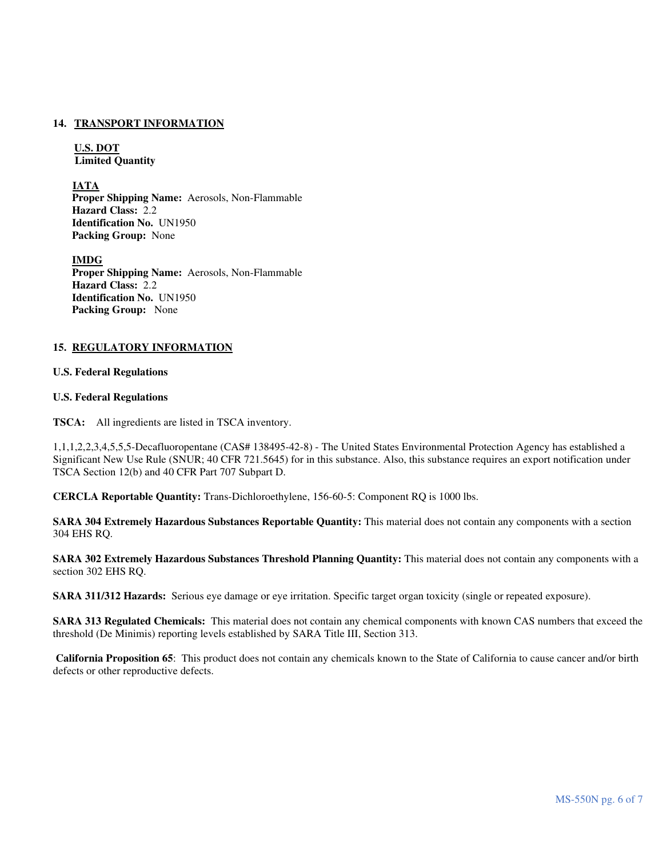#### **14. TRANSPORT INFORMATION**

**U.S. DOT Limited Quantity** 

**IATA** 

 **Proper Shipping Name:** Aerosols, Non-Flammable **Hazard Class:** 2.2 **Identification No.** UN1950 **Packing Group:** None

 **IMDG Proper Shipping Name:** Aerosols, Non-Flammable **Hazard Class:** 2.2 **Identification No.** UN1950 **Packing Group:** None

### **15. REGULATORY INFORMATION**

#### **U.S. Federal Regulations**

#### **U.S. Federal Regulations**

**TSCA:** All ingredients are listed in TSCA inventory.

1,1,1,2,2,3,4,5,5,5-Decafluoropentane (CAS# 138495-42-8) - The United States Environmental Protection Agency has established a Significant New Use Rule (SNUR; 40 CFR 721.5645) for in this substance. Also, this substance requires an export notification under TSCA Section 12(b) and 40 CFR Part 707 Subpart D.

**CERCLA Reportable Quantity:** Trans-Dichloroethylene, 156-60-5: Component RQ is 1000 lbs.

**SARA 304 Extremely Hazardous Substances Reportable Quantity:** This material does not contain any components with a section 304 EHS RQ.

**SARA 302 Extremely Hazardous Substances Threshold Planning Quantity:** This material does not contain any components with a section 302 EHS RQ.

**SARA 311/312 Hazards:** Serious eye damage or eye irritation. Specific target organ toxicity (single or repeated exposure).

**SARA 313 Regulated Chemicals:** This material does not contain any chemical components with known CAS numbers that exceed the threshold (De Minimis) reporting levels established by SARA Title III, Section 313.

**California Proposition 65**: This product does not contain any chemicals known to the State of California to cause cancer and/or birth defects or other reproductive defects.